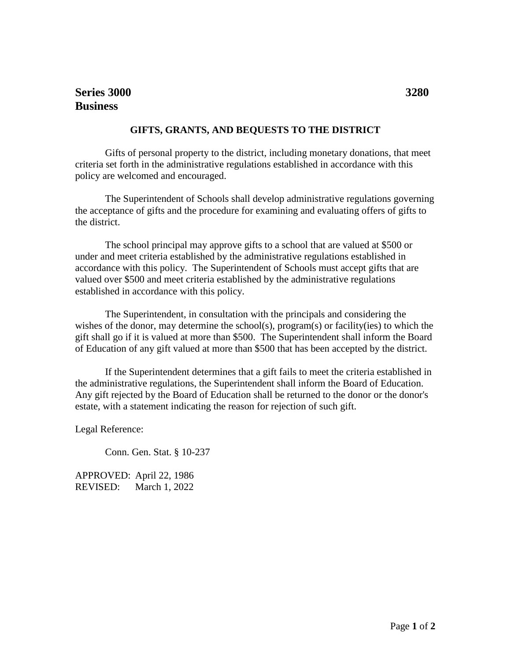## **GIFTS, GRANTS, AND BEQUESTS TO THE DISTRICT**

Gifts of personal property to the district, including monetary donations, that meet criteria set forth in the administrative regulations established in accordance with this policy are welcomed and encouraged.

The Superintendent of Schools shall develop administrative regulations governing the acceptance of gifts and the procedure for examining and evaluating offers of gifts to the district.

The school principal may approve gifts to a school that are valued at \$500 or under and meet criteria established by the administrative regulations established in accordance with this policy. The Superintendent of Schools must accept gifts that are valued over \$500 and meet criteria established by the administrative regulations established in accordance with this policy.

The Superintendent, in consultation with the principals and considering the wishes of the donor, may determine the school(s), program(s) or facility(ies) to which the gift shall go if it is valued at more than \$500. The Superintendent shall inform the Board of Education of any gift valued at more than \$500 that has been accepted by the district.

If the Superintendent determines that a gift fails to meet the criteria established in the administrative regulations, the Superintendent shall inform the Board of Education. Any gift rejected by the Board of Education shall be returned to the donor or the donor's estate, with a statement indicating the reason for rejection of such gift.

Legal Reference:

Conn. Gen. Stat. § 10-237

APPROVED: April 22, 1986 REVISED: March 1, 2022